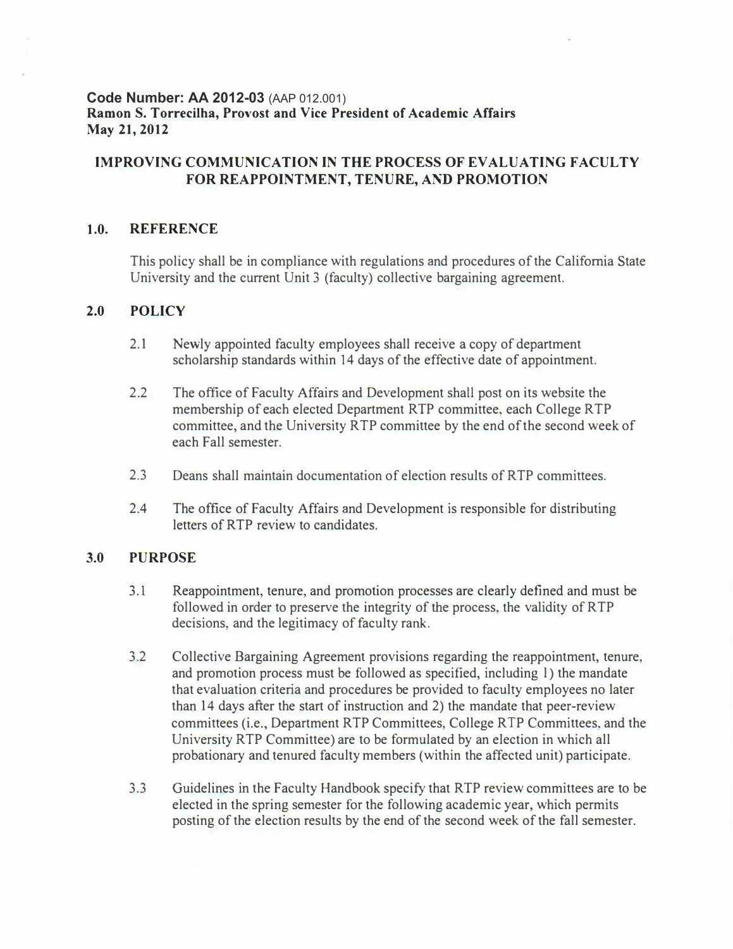## **Code Number: AA 2012-03** (AAP 012.001) **Ramon S. Torrecilha, Provost and Vice President of Academic Affairs May 21, 2012**

# **IMPROVING COMMUNICATION IN THE PROCESS OF EVALUATING FACULTY FOR REAPPOINTMENT, TENURE, AND PROMOTION**

#### **1.0. REFERENCE**

This policy shall be in compliance with regulations and procedures of the California State University and the current Unit 3 (faculty) collective bargaining agreement.

#### **2.0 POLICY**

- 2.1 Newly appointed faculty employees shall receive a copy of department scholarship standards within 14 days of the effective date of appointment.
- 2.2 The office of Faculty Affairs and Development shall post on its website the membership of each elected Department RTP committee, each College RTP committee, and the University RTP committee by the end of the second week of each Fall semester.
- 2.3 Deans shall maintain documentation of election results ofRTP committees.
- 2.4 The office of Faculty Affairs and Development is responsible for distributing letters of RTP review to candidates.

## **3.0 PURPOSE**

- 3.1 Reappointment, tenure, and promotion processes are clearly defined and must be followed in order to preserve the integrity of the process, the validity of R TP decisions, and the legitimacy of faculty rank.
- 3.2 Collective Bargaining Agreement provisions regarding the reappointment, tenure, and promotion process must be followed as specified, including l) the mandate that evaluation criteria and procedures be provided to faculty employees no later than 14 days after the start of instruction and 2) the mandate that peer-review committees (i.e., Department RTP Committees, College RTP Committees, and the University RTP Committee) are to be formulated by an election in which all probationary and tenured faculty members (within the affected unit) participate.
- 3.3 Guidelines in the Faculty Handbook specify that RTP review committees are to be elected in the spring semester for the following academic year, which permits posting of the election results by the end of the second week of the fall semester.